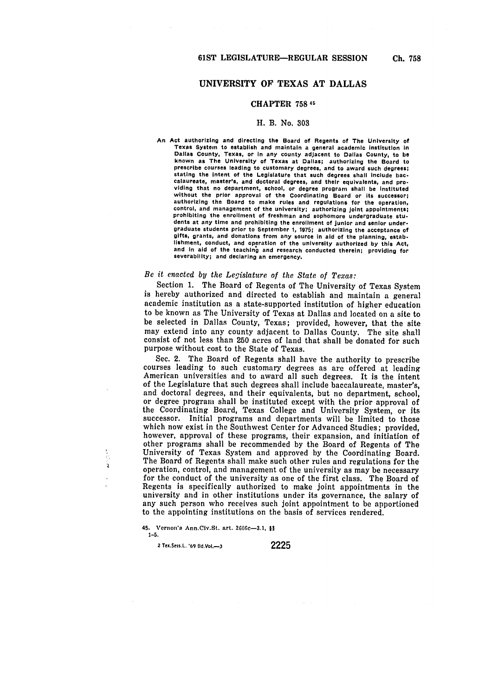## UNIVERSITY OF **TEXAS AT DALLAS**

### CHAPTER **758 46**

#### H. B. No. **303**

An Act authorizing and directing the Board of Regents of The University of Texas System to establish and maintain a general academic institution in Dallas County, Texas, or In any county adjacent to Dallas County, to be known as The University of Texas at Dallas; authorizing the Board to prescribe courses leading to customary degrees, and to award such degrees; stating the intent of the Legislature that such degrees **shall** include baccalaureate, master's, and doctoral degrees, and their equivalents, and pro- viding that no department, school, or degree program **shall** be instituted without the prior approval of the Coordinating Board or its successor;<br>authorizing the Board to make rules and regulations for the operation,<br>control, and management of the university; authorizing joint appointments;<br>prohi dents at any time and prohibiting the enrollment of junior and senior undergraduate students prior to September **1, 1975;** authorizing the acceptance of gifts, grants, and donations from any source in aid of the planning, establishment, conduct, and operation of the university authorized **by** this Act, and In aid of the teaching and research conducted therein; providing for severability; and declaring an emergency.

# *Be it enacted by the Legislature of the State of Texas:*

Section 1. The Board of Regents of The University of Texas System is hereby authorized and directed to establish and maintain a general academic institution as a state-supported institution of higher education to be known as The University of Texas at Dallas and located on a site to be selected in Dallas County, Texas; provided, however, that the site may extend into any county adjacent to Dallas County. The site shall consist of not less than **250** acres of land that shall be donated for such purpose without cost to the State of Texas.

Sec. 2. The Board of Regents shall have the authority to prescribe courses leading to such customary degrees as are offered at leading American universities and to award all such degrees. It is the intent of the Legislature that such degrees shall include baccalaureate, master's, and doctoral degrees, and their equivalents, but no department, school, or degree program shall be instituted except with the prior approval of the Coordinating Board, Texas College and University System, or its successor. Initial programs and departments will be limited to those which now exist in the Southwest Center for Advanced Studies; provided, however, approval of these programs, their expansion, and initiation of other programs shall be recommended by the Board of Regents of The University of Texas System and approved by the Coordinating Board. The Board of Regents shall make such other rules and regulations for the operation, control, and management of the university as may be necessary for the conduct of the university as one of the first class. The Board of Regents is specifically authorized to make joint appointments in the university and in other institutions under its governance, the salary of any such person who receives such joint appointment to be apportioned to the appointing institutions on the basis of services rendered.

45. Vernon's Ann.Civ.St. art. 2606c-3.1, \$! **1-5.**

**<sup>2</sup>**Tex.Sess.L. **69 Bd.Vo.-3 2225**

à